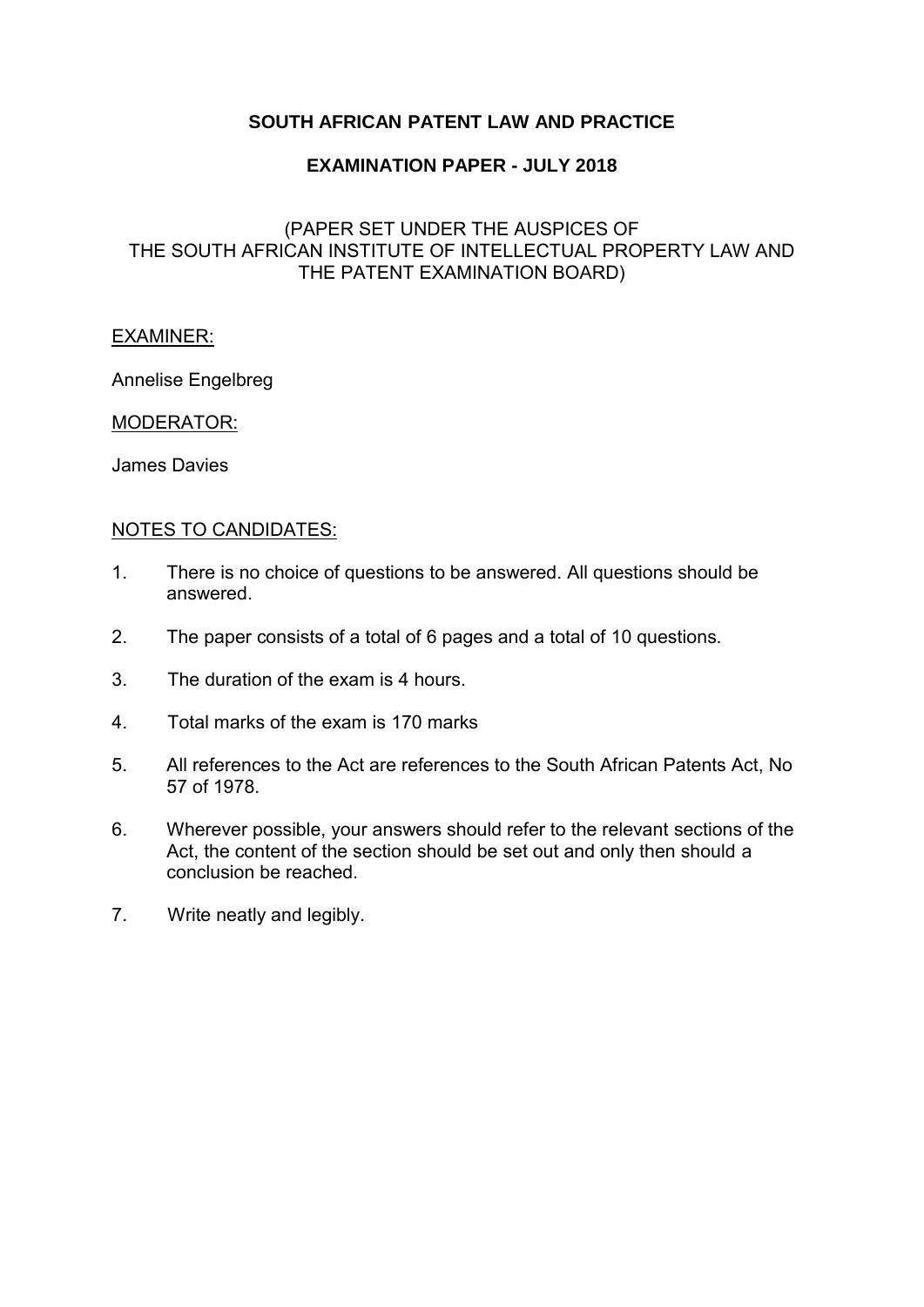## **SOUTH AFRICAN PATENT LAW AND PRACTICE**

### **EXAMINATION PAPER - JULY 2018**

## (PAPER SET UNDER THE AUSPICES OF THE SOUTH AFRICAN INSTITUTE OF INTELLECTUAL PROPERTY LAW AND THE PATENT EXAMINATION BOARD)

#### EXAMINER:

Annelise Engelbreg

#### MODERATOR:

James Davies

#### NOTES TO CANDIDATES:

- 1. There is no choice of questions to be answered. All questions should be answered.
- 2. The paper consists of a total of 6 pages and a total of 10 questions.
- 3. The duration of the exam is 4 hours.
- 4. Total marks of the exam is 170 marks
- 5. All references to the Act are references to the South African Patents Act, No 57 of 1978.
- 6. Wherever possible, your answers should refer to the relevant sections of the Act, the content of the section should be set out and only then should a conclusion be reached.
- 7. Write neatly and legibly.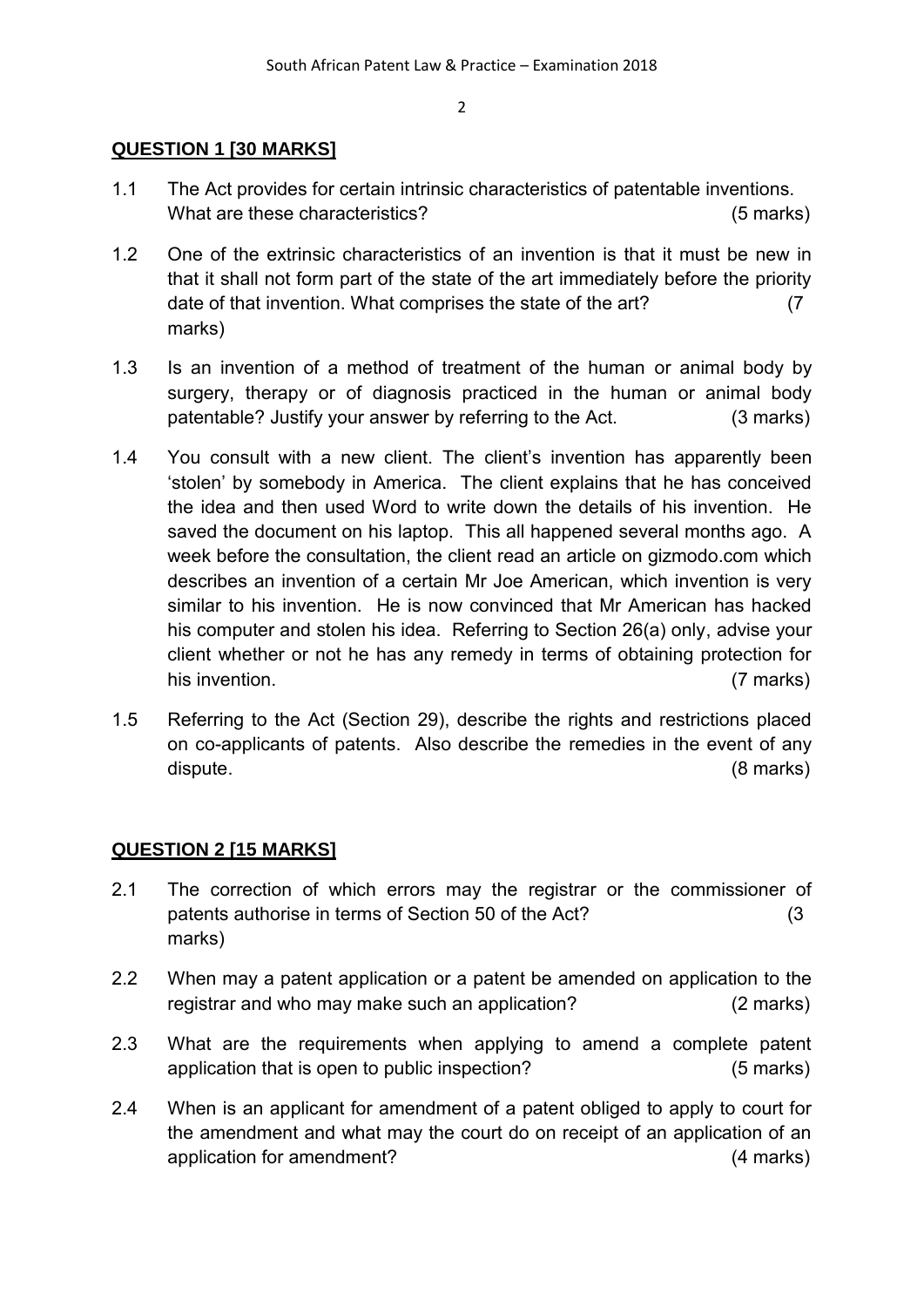### **QUESTION 1 [30 MARKS]**

- 1.1 The Act provides for certain intrinsic characteristics of patentable inventions. What are these characteristics? (5 marks)
- 1.2 One of the extrinsic characteristics of an invention is that it must be new in that it shall not form part of the state of the art immediately before the priority date of that invention. What comprises the state of the art? (7 marks)
- 1.3 Is an invention of a method of treatment of the human or animal body by surgery, therapy or of diagnosis practiced in the human or animal body patentable? Justify your answer by referring to the Act. (3 marks)
- 1.4 You consult with a new client. The client's invention has apparently been 'stolen' by somebody in America. The client explains that he has conceived the idea and then used Word to write down the details of his invention. He saved the document on his laptop. This all happened several months ago. A week before the consultation, the client read an article on gizmodo.com which describes an invention of a certain Mr Joe American, which invention is very similar to his invention. He is now convinced that Mr American has hacked his computer and stolen his idea. Referring to Section 26(a) only, advise your client whether or not he has any remedy in terms of obtaining protection for his invention. (7 marks)
- 1.5 Referring to the Act (Section 29), describe the rights and restrictions placed on co-applicants of patents. Also describe the remedies in the event of any dispute. (8 marks)

## **QUESTION 2 [15 MARKS]**

- 2.1 The correction of which errors may the registrar or the commissioner of patents authorise in terms of Section 50 of the Act? (3 marks)
- 2.2 When may a patent application or a patent be amended on application to the registrar and who may make such an application? (2 marks)
- 2.3 What are the requirements when applying to amend a complete patent application that is open to public inspection? (5 marks)
- 2.4 When is an applicant for amendment of a patent obliged to apply to court for the amendment and what may the court do on receipt of an application of an application for amendment? (4 marks)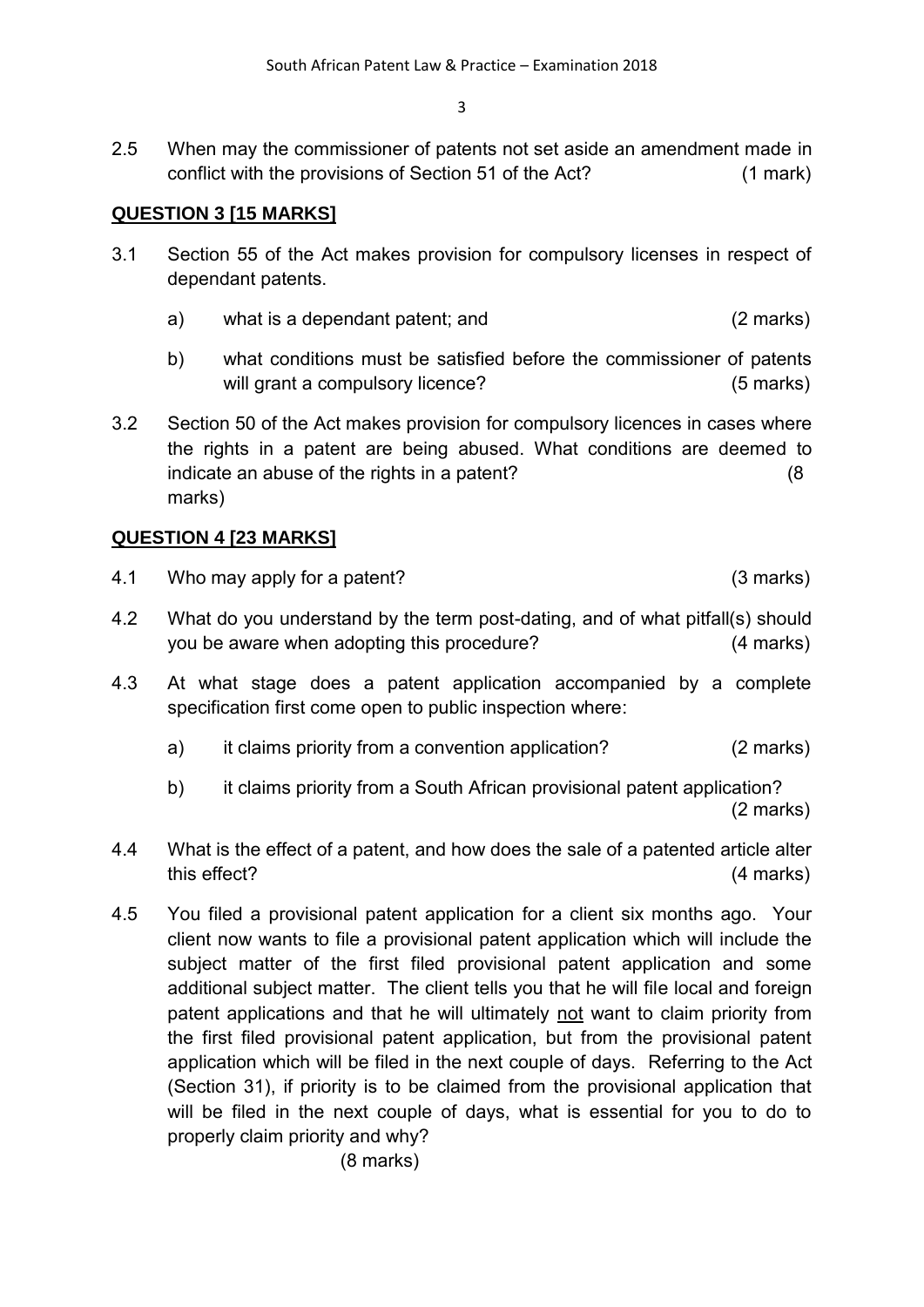2.5 When may the commissioner of patents not set aside an amendment made in conflict with the provisions of Section 51 of the Act? (1 mark)

# **QUESTION 3 [15 MARKS]**

- 3.1 Section 55 of the Act makes provision for compulsory licenses in respect of dependant patents.
	- a) what is a dependant patent; and (2 marks)
	- b) what conditions must be satisfied before the commissioner of patents will grant a compulsory licence? (5 marks)
- 3.2 Section 50 of the Act makes provision for compulsory licences in cases where the rights in a patent are being abused. What conditions are deemed to indicate an abuse of the rights in a patent? (8 marks)

## **QUESTION 4 [23 MARKS]**

- 4.1 Who may apply for a patent? (3 marks)
- 4.2 What do you understand by the term post-dating, and of what pitfall(s) should you be aware when adopting this procedure? (4 marks)
- 4.3 At what stage does a patent application accompanied by a complete specification first come open to public inspection where:
	- a) it claims priority from a convention application? (2 marks)
	- b) it claims priority from a South African provisional patent application? (2 marks)
- 4.4 What is the effect of a patent, and how does the sale of a patented article alter this effect? (4 marks)
- 4.5 You filed a provisional patent application for a client six months ago. Your client now wants to file a provisional patent application which will include the subject matter of the first filed provisional patent application and some additional subject matter. The client tells you that he will file local and foreign patent applications and that he will ultimately not want to claim priority from the first filed provisional patent application, but from the provisional patent application which will be filed in the next couple of days. Referring to the Act (Section 31), if priority is to be claimed from the provisional application that will be filed in the next couple of days, what is essential for you to do to properly claim priority and why?

(8 marks)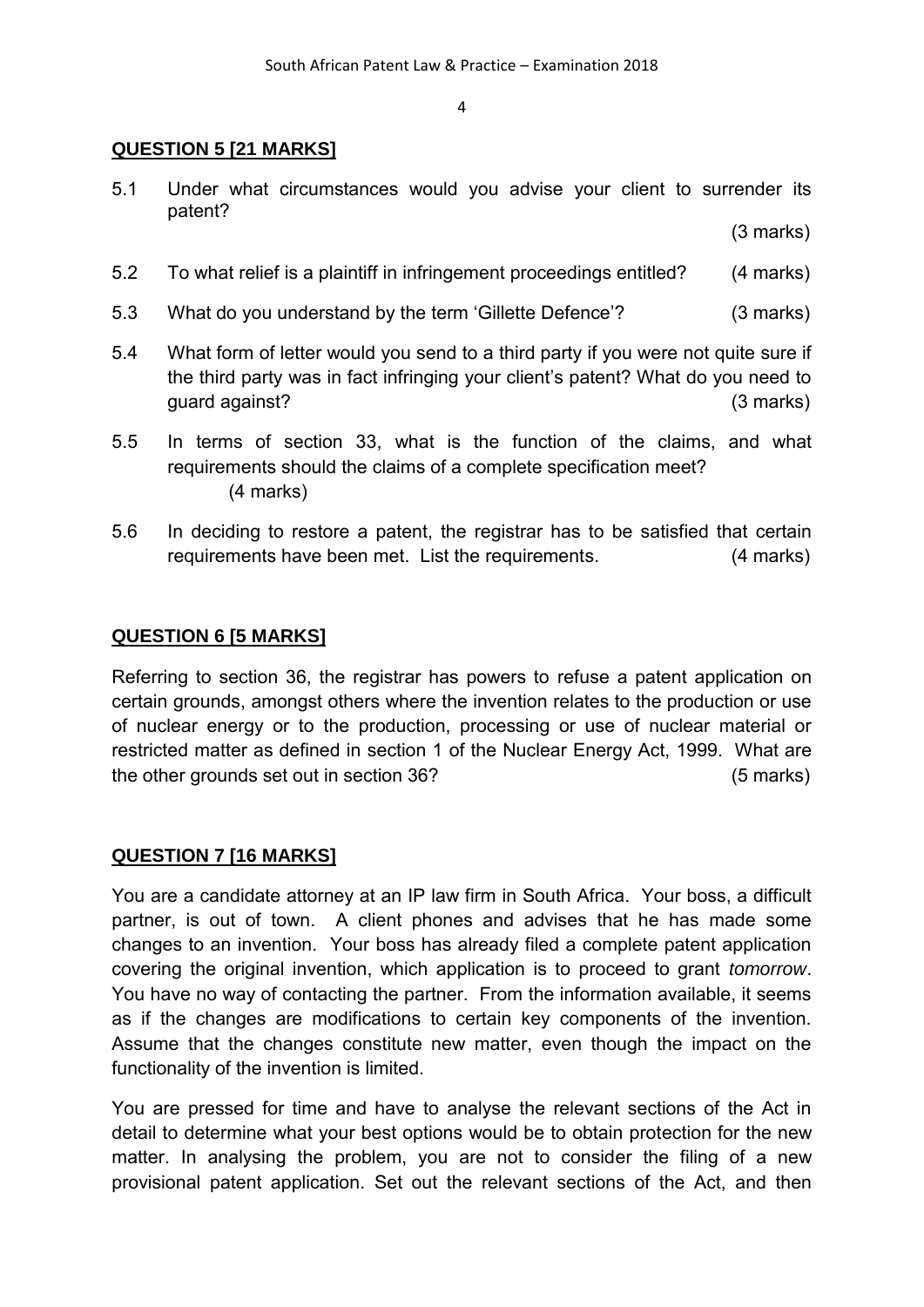### **QUESTION 5 [21 MARKS]**

5.1 Under what circumstances would you advise your client to surrender its patent?

(3 marks)

- 5.2 To what relief is a plaintiff in infringement proceedings entitled? (4 marks)
- 5.3 What do you understand by the term 'Gillette Defence'? (3 marks)
- 5.4 What form of letter would you send to a third party if you were not quite sure if the third party was in fact infringing your client's patent? What do you need to guard against? (3 marks)
- 5.5 In terms of section 33, what is the function of the claims, and what requirements should the claims of a complete specification meet? (4 marks)
- 5.6 In deciding to restore a patent, the registrar has to be satisfied that certain requirements have been met. List the requirements. (4 marks)

### **QUESTION 6 [5 MARKS]**

Referring to section 36, the registrar has powers to refuse a patent application on certain grounds, amongst others where the invention relates to the production or use of nuclear energy or to the production, processing or use of nuclear material or restricted matter as defined in [section 1](http://search.sabinet.co.za/netlawpdf/netlaw/NUCLEAR%20ENERGY%20ACT.htm#section1) of the Nuclear Energy Act, 1999. What are the other grounds set out in section 36? (5 marks)

## **QUESTION 7 [16 MARKS]**

You are a candidate attorney at an IP law firm in South Africa. Your boss, a difficult partner, is out of town. A client phones and advises that he has made some changes to an invention. Your boss has already filed a complete patent application covering the original invention, which application is to proceed to grant *tomorrow*. You have no way of contacting the partner. From the information available, it seems as if the changes are modifications to certain key components of the invention. Assume that the changes constitute new matter, even though the impact on the functionality of the invention is limited.

You are pressed for time and have to analyse the relevant sections of the Act in detail to determine what your best options would be to obtain protection for the new matter. In analysing the problem, you are not to consider the filing of a new provisional patent application. Set out the relevant sections of the Act, and then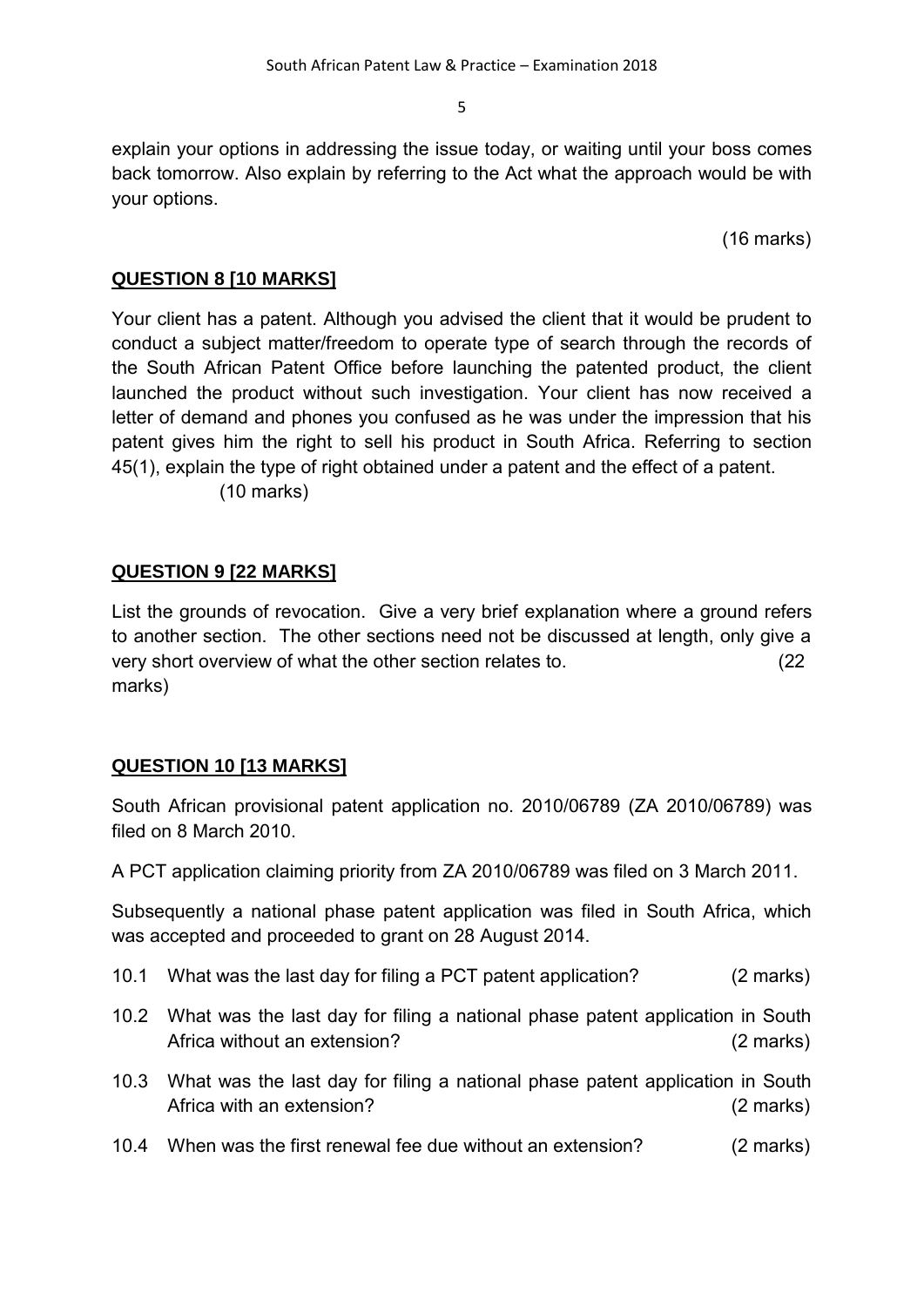explain your options in addressing the issue today, or waiting until your boss comes back tomorrow. Also explain by referring to the Act what the approach would be with your options.

(16 marks)

## **QUESTION 8 [10 MARKS]**

Your client has a patent. Although you advised the client that it would be prudent to conduct a subject matter/freedom to operate type of search through the records of the South African Patent Office before launching the patented product, the client launched the product without such investigation. Your client has now received a letter of demand and phones you confused as he was under the impression that his patent gives him the right to sell his product in South Africa. Referring to section 45(1), explain the type of right obtained under a patent and the effect of a patent. (10 marks)

# **QUESTION 9 [22 MARKS]**

List the grounds of revocation. Give a very brief explanation where a ground refers to another section. The other sections need not be discussed at length, only give a very short overview of what the other section relates to. (22 marks)

## **QUESTION 10 [13 MARKS]**

South African provisional patent application no. 2010/06789 (ZA 2010/06789) was filed on 8 March 2010.

A PCT application claiming priority from ZA 2010/06789 was filed on 3 March 2011.

Subsequently a national phase patent application was filed in South Africa, which was accepted and proceeded to grant on 28 August 2014.

- 10.1 What was the last day for filing a PCT patent application? (2 marks)
- 10.2 What was the last day for filing a national phase patent application in South Africa without an extension? (2 marks)
- 10.3 What was the last day for filing a national phase patent application in South Africa with an extension? (2 marks)
- 10.4 When was the first renewal fee due without an extension? (2 marks)